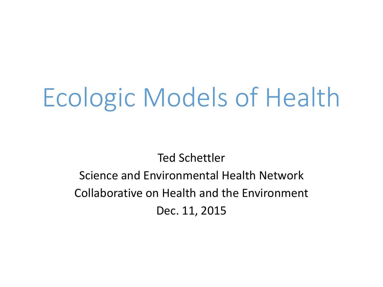# Ecologic Models of Health

## Ted Schettler Science and Environmental Health Network Collaborative on Health and the Environment Dec. 11, 2015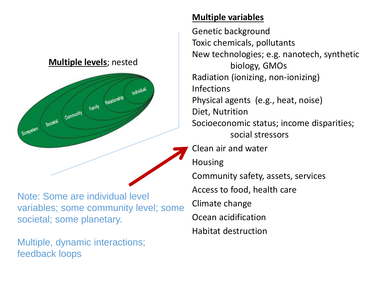

Note: Some are individual level variables; some community level; some societal; some planetary.

Multiple, dynamic interactions; feedback loops

### **Multiple variables**

Genetic background Toxic chemicals, pollutants New technologies; e.g. nanotech, synthetic biology, GMOs Radiation (ionizing, non-ionizing) Infections Physical agents (e.g., heat, noise) Diet, Nutrition Socioeconomic status; income disparities; social stressors Clean air and water Housing Community safety, assets, services Access to food, health care Climate change Ocean acidification Habitat destruction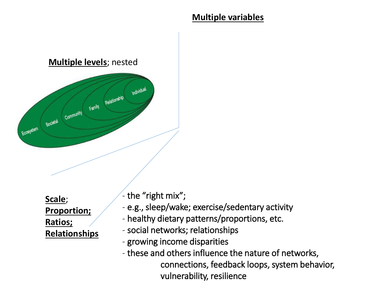

**Scale**; **Proportion; Ratios; Relationships**  the "right mix";

- e.g., sleep/wake; exercise/sedentary activity
- healthy dietary patterns/proportions, etc.
- social networks; relationships
- growing income disparities
- these and others influence the nature of networks, connections, feedback loops, system behavior, vulnerability, resilience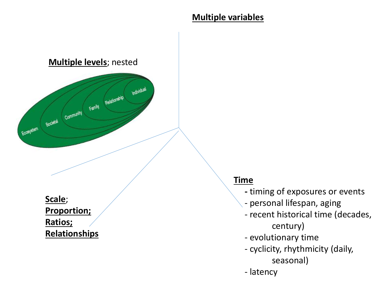

**Scale**; **Proportion; Ratios; Relationships** 

#### **Time**

- **-** timing of exposures or events
- personal lifespan, aging
- recent historical time (decades, century)
- evolutionary time
- cyclicity, rhythmicity (daily, seasonal)
- latency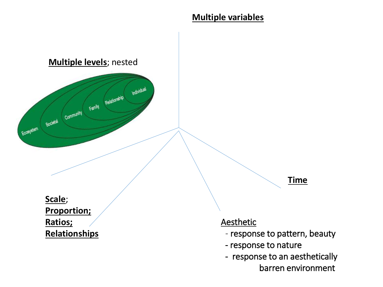

barren environment